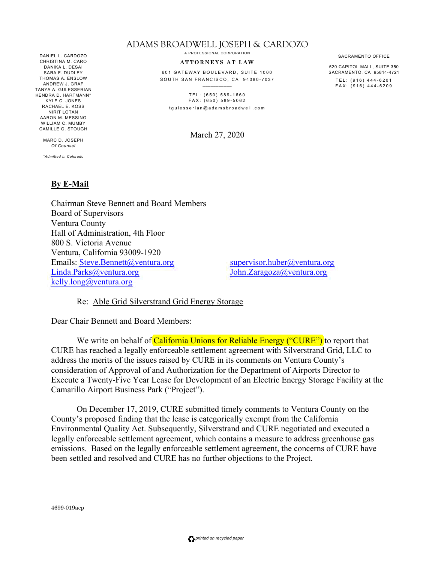DANIEL L. CARDOZO CHRISTINA M. CARO DANIKA L. DESAI SARA F. DUDLEY THOMAS A. ENSLOW ANDREW J. GRAF TANYA A. GULESSERIAN KENDRA D. HARTMANN\* KYLE C. JONES RACHAEL E. KOSS NIRIT LOTAN AARON M. MESSING WILLIAM C. MUMBY CAMILLE G. STOUGH

> MARC D. JOSEPH *Of Counsel*

*\*Admitted in Colorado* 

## **By E-Mail**

## ADAMS BROADWELL JOSEPH & CARDOZO

A PROFESSIONAL CORPORATION

## **ATTORNEYS AT LAW**

601 GATEWAY BOULEVARD, SUITE 1000 SOUTH SAN FRANCISCO, CA 94080-7037

TEL: (650) 589-1660 FAX: (650) 589-5062 tgulesserian@adamsbroadwell.com

March 27, 2020

SACRAMENTO OFFICE

520 CAPITOL MALL, SUITE 350 TEL: (916) 444-6201

SACRAMENTO, CA 95814-4721 FAX: (916) 444-6209

Chairman Steve Bennett and Board Members Board of Supervisors Ventura County Hall of Administration, 4th Floor 800 S. Victoria Avenue Ventura, California 93009-1920 Emails: Steve.Bennett@ventura.org Linda.Parks@ventura.org kelly.long@ventura.org

supervisor.huber@ventura.org John.Zaragoza@ventura.org

Re: Able Grid Silverstrand Grid Energy Storage

Dear Chair Bennett and Board Members:

We write on behalf of California Unions for Reliable Energy ("CURE") to report that CURE has reached a legally enforceable settlement agreement with Silverstrand Grid, LLC to address the merits of the issues raised by CURE in its comments on Ventura County's consideration of Approval of and Authorization for the Department of Airports Director to Execute a Twenty-Five Year Lease for Development of an Electric Energy Storage Facility at the Camarillo Airport Business Park ("Project").

On December 17, 2019, CURE submitted timely comments to Ventura County on the County's proposed finding that the lease is categorically exempt from the California Environmental Quality Act. Subsequently, Silverstrand and CURE negotiated and executed a legally enforceable settlement agreement, which contains a measure to address greenhouse gas emissions. Based on the legally enforceable settlement agreement, the concerns of CURE have been settled and resolved and CURE has no further objections to the Project.